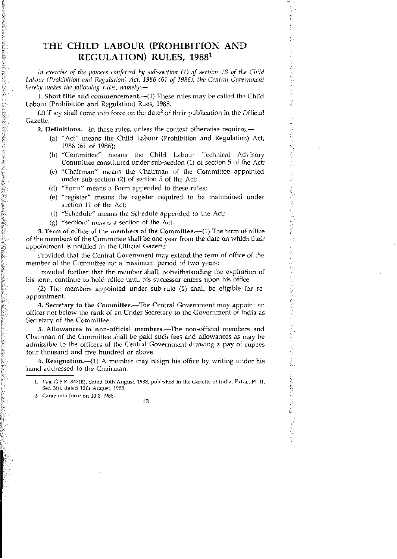# THE CHILD LABOUR (PROHIBITION AND REGULATION) RULES, 19881

*In exercise of the powers conferred by sub-section (1) of section 18 of the Child* Labour (Prolubition and Regulation) Act, 1986 (61 of 1986), the Central Government *hereby makes the following rules, namely:-*

1. Short title and commencement. $-(1)$  These rules may be called the Child Labour (Prohibition and Regulation) Rues, 1988.

(2) They shall come into force on the date<sup>2</sup> of their publication in the Official Gazette.

2. Definitions.-In these rules, unless the context otherwise requires,-

- (a) "Act" means the Child Labour (Prohibition and Regulation) Act, 1986 (61 of 1986);
- (b) "Committee" means the Child Labour Technical Advisory Committee constituted under sub-seclion (1) of section 5 of the Act;
- (c) "Chairman" means the Chairman of the Committee appointed under sub-section (2) of section 5 of the Act;
- (d) "Form" means a Form appended to these rules;
- (e) "register" means the register required to be maintained under section 11 of the Act;
- (f) "Schedule" means the Schedule appended to the Act;
- $(g)$  "section" means a section of the Act.

3. Term of office of the members of the Committee.---(1) The term of office of the members of the Committee shall be one year from the date on which their appointment is notified in the Official Gazette:

Provided that the Central Government may extend the term of office of the member of the Committee for a maximum period of Lwo years:

Provided further that the member shall, notwithstanding the expiration of his term, continue to hold office until his successor enters upon his office.

(2) The members appointed under sub-rule (1) shall be eligible for reappointment.

4. Secretary to **the** Committee.-The Central Government may appoint an officer not below the rank of an Under Secretary to the Government of India as Secretary of the Committee.

5. Allowances to non-official members.--The non-official members and Chairman of the Committee shall be paid such fees and allowances as may be admissible to the officers of the Central Government drawing a pay of rupees four thousand and five hundred or above.

6. Resignation. $-(1)$  A member may resign his office by writing under his hand addressed to the Chairman.

13

<sup>1.</sup> *Vide* G.S.R. 847(E), dated 10th August, 1988, published in the Gazette of India, Extra., Pt. II, Sec. 3(i), dated 10th August, 1988. 2. Came into force on 10-8-1988.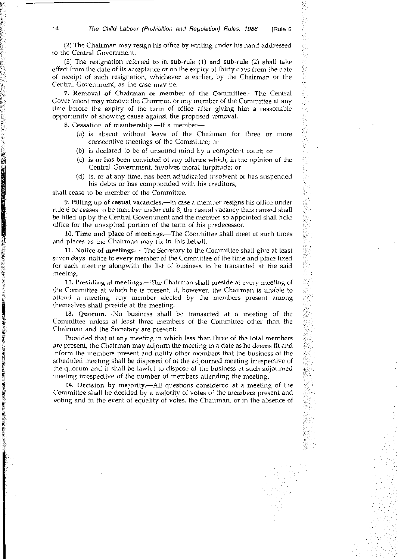(2) The Chairman may resign his office by writing under his hand addressed to the Central Government.

(3) The resignation referred to in sub-rule (1) and sub-rule (2) shall take effect from the date of its acceptance or on the expiry of thirty days from *the* date of receipt of such resignation, whichever is earlier, by the Chairman or the Central Government, as the case may be.

7. Removal of Chairman or member of the Committee.-The Central Government may remove the Chnirman or any member of the Committee at any Lime before the expiry of the term of office after giving him a reasonable opportunity of showing cause against the proposed removaL

8. Cessation of membership.—If a member--

- (a) is absent without leave of the Chairman for three or more consecutive meetings of the Committee; or
- (b) is declared to be of unsound mind by a competent court; or
- (c) is or has been convicted of any offence which, in the opinion of the Central Government, involves moral turpitude; or
- (d) is, or at any time, has been adjudicated insolvent or has suspended his debts or has compounded with his creditors,

shall cease to be member of the Committee.

In the contract of the contract of the contract of the contract of the contract of the contract of the contract of the contract of the contract of the contract of the contract of the contract of the contract of the contrac

9. Filling up of casual vacancies.-In case a member resigns his office under rule 6 or ceases to be member under rule 8, the casual vacancy thus caused shall be filled up by the Central Government and the member so appointed shall hold office for the unexpired portion of the term of his predecessor.

10. Time and place of meetings.-The Committee shall meet at such times and places as the Chairman may fix in this behalf.

11. Notice of meetings.- The Secretary to the Committee shall give at least seven days' notice to every member of the Committee of the time and place fixed for each meeting alongwith the list of business to be transacted at the said meeting.

12. Presiding at meetings.--The Chairman shall preside at every meeting of the Committee at which he is present, if, however, the Chairman is unable to attend a meeting, any member elected by the members present among themselves shall preside at the meeting.

13. Quorum.-No business shall be transacted at a meeting of the Committee unless at least three members of the Committee other than the Chairman and the Secretary are present:

Provided that at any meeting in which less than three of the total members are present, the Chairman may adjourn the meeting to a date as he deems fit and inform the members present and notify other members that the business of the scheduled meeting shall be disposed of at the adjourned meeting irrespective of the quorum and it shall be lawful to dispose of the business at such adjourned meeting irrespective of the number of members attending the meeting.

14. Decision by majority.-All questions considered at a meeting of the Committee shall be decided by a majority of votes of the members present and voting and in the event of equality of votes, the Chairman, or in the absence of

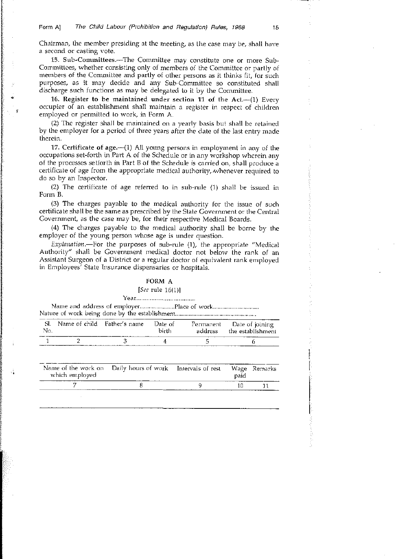r

Chairman, the member presiding at the meeting, as Lhe case may be, shall have a second or casting vote.

15. Sub~Committees.~The Committee may constitute one or more Sub-Committees, whether consisting only of members of the Committee or partly of members of the Committee and partly of other persons as it thinks fit, for such purposes, as it may decide and any Sub-Committee so constituted shall discharge such functions as may be delegated to it by the Committee.

16. Register to be maintained under section 11 of the Act. $-(1)$  Every occupier of an establishment shall maintain a register in respect of children employed or permilted to work, in Form A.

(2) The register shall be maintained on a yearly basis but sha!l *be* retained by the employer for a period of three years after the date of the last entry made therein.

17. Certificate of age. $-(1)$  All young persons in employment in any of the occupations set-forth in Part A of the Schedule or in any workshop wherein any of the processes setforth in Part B of the Schedule is carried on, shall produce a certificate of age from the appropriate medical authority, whenever required to do so by an Inspector.

(2) The certificate of age referred to in sub-rule  $(1)$  shall be issued in Form B.

(3) The charges payable to the medical authority for the issue of such certificate shall be the same as prescribed by the State Government or the Central Government, as the case may be, for their respective Medical Boards.

(4) The charges payable to the medical authority shall be borne by the employer of the young person whose age is under question.

*Explanation.*-For the purposes of sub-rule (1), the appropriate "Medical Authority" shall be Government medical doctor not below the rank of an Assistant Surgeon of a District or a regular doctor of equivalent rank employed in Employees' State Insurance dispensaries or hospitals.

# FORM A

{See rule 16(1)]

Year .. Name and address of employer.........................Place of work.................................. Nature of work being done by the establishment ............... .

| No. | Name of child Father's name | Date of<br>birth | address | Permanent Date of joining<br>the establishment |
|-----|-----------------------------|------------------|---------|------------------------------------------------|
|     |                             |                  |         |                                                |

| Name of the work on Daily hours of work Intervals of rest<br>which employed |  | paid | - Wage Remarks |
|-----------------------------------------------------------------------------|--|------|----------------|
|                                                                             |  |      |                |